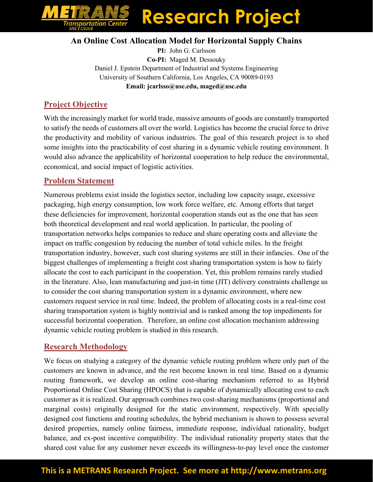# **Research Project** = = = = = =<br>portation Cente<br><sub>CSULB</sub>

#### **An Online Cost Allocation Model for Horizontal Supply Chains**

**PI:** John G. Carlsson **Co-PI:** Maged M. Dessouky Daniel J. Epstein Department of Industrial and Systems Engineering University of Southern California, Los Angeles, CA 90089-0193 **Email: jcarlsso@usc.edu, maged@usc.edu**

## **Project Objective**

With the increasingly market for world trade, massive amounts of goods are constantly transported to satisfy the needs of customers all over the world. Logistics has become the crucial force to drive the productivity and mobility of various industries. The goal of this research project is to shed some insights into the practicability of cost sharing in a dynamic vehicle routing environment. It would also advance the applicability of horizontal cooperation to help reduce the environmental, economical, and social impact of logistic activities.

### **Problem Statement**

Numerous problems exist inside the logistics sector, including low capacity usage, excessive packaging, high energy consumption, low work force welfare, etc. Among efforts that target these deficiencies for improvement, horizontal cooperation stands out as the one that has seen both theoretical development and real world application. In particular, the pooling of transportation networks helps companies to reduce and share operating costs and alleviate the impact on traffic congestion by reducing the number of total vehicle miles. In the freight transportation industry, however, such cost sharing systems are still in their infancies. One of the biggest challenges of implementing a freight cost sharing transportation system is how to fairly allocate the cost to each participant in the cooperation. Yet, this problem remains rarely studied in the literature. Also, lean manufacturing and just-in time (JIT) delivery constraints challenge us to consider the cost sharing transportation system in a dynamic environment, where new customers request service in real time. Indeed, the problem of allocating costs in a real-time cost sharing transportation system is highly nontrivial and is ranked among the top impediments for successful horizontal cooperation. Therefore, an online cost allocation mechanism addressing dynamic vehicle routing problem is studied in this research.

### **Research Methodology**

We focus on studying a category of the dynamic vehicle routing problem where only part of the customers are known in advance, and the rest become known in real time. Based on a dynamic routing framework, we develop an online cost-sharing mechanism referred to as Hybrid Proportional Online Cost Sharing (HPOCS) that is capable of dynamically allocating cost to each customer as it is realized. Our approach combines two cost-sharing mechanisms (proportional and marginal costs) originally designed for the static environment, respectively. With specially designed cost functions and routing schedules, the hybrid mechanism is shown to possess several desired properties, namely online fairness, immediate response, individual rationality, budget balance, and ex-post incentive compatibility. The individual rationality property states that the shared cost value for any customer never exceeds its willingness-to-pay level once the customer